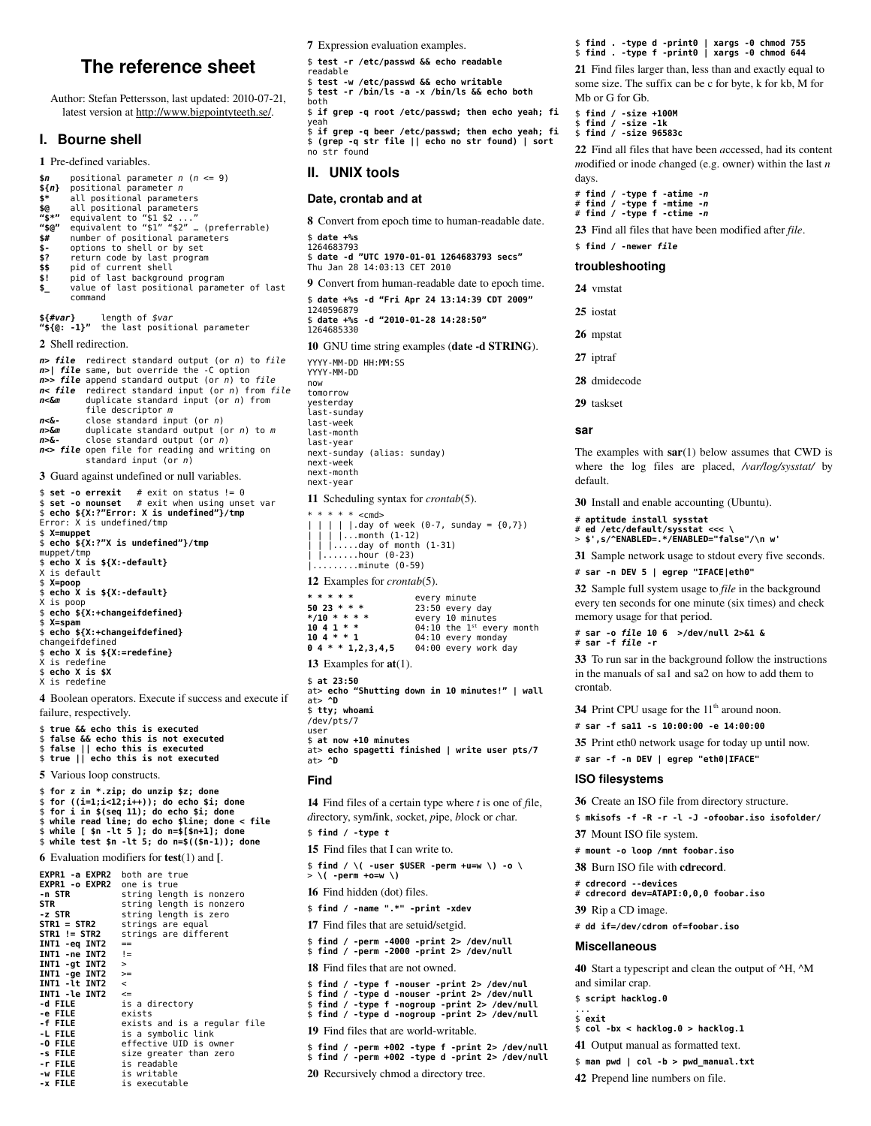# The reference sheet

Author: Stefan Pettersson, last updated: 2010-07-21, latest version at http://www.bigpointyteeth.se/.

### I. Bourne shell

1 Pre-defined variables

- positional parameter  $n$  ( $n \leq 9$ ) \$n<br>\${n}
- $positional parameter n$  $\ddot{\bm{s}}$ all positional parameters
- 
- \$@<br>"\$\*"
- atl positional parameters<br>equivalent to "\$1 \$2 ..."<br>equivalent to "\$1 "\$2"..."<br>mumber of positional parameters<br>options to shell or by set<br>potions to shell or by set "\$@"
- $$^{4}_{5}$
- 
- return code by last program<br>pid of current shell  $$7$ \$\$
- ši pid of last background program
- $\ddot{\bullet}$ value of last positional parameter of last command

\${#var} length of \$var<br>"\${@: -1}" the last positional parameter

2 Shell redirection.

n> file redirect standard output (or n) to file  $n$ > | file same, but override the -C option<br> $n$ >> file append standard output (or *n*) to file  $n$ < file redirect standard input (or n) from file  $n < \lambda m$ duplicate standard input (or  $n$ ) from file descriptor  $m$  $n < \delta$ close standard input (or  $n$ )  $n > \lambda m$ duplicate standard output (or  $n$ ) to  $m$ close standard output (or n) n>& $n \Leftrightarrow$  file open file for reading and writing on standard input (or *n*) 3 Guard against undefined or null variables.

- \$ set -o errexit # exit on status !=  $0$ <br>\$ set -o nounset # exit when using unset var<br>\$ echo \${X:?"Error: X is undefined"}/tmp<br>Error: X is undefined/tmp \$ X=muppet \$ echo \${X:?"X is undefined"}/tmp<br>muppet/tmp \$ echo X is \${X:-default}<br>X is default  $$ X=poop$ \$ echo X is \${X:-default}<br>X is poop  $\frac{1}{2}$  echo  $\frac{1}{2}$  (X:+changeifdefined}
- \$ X=spam \$ A-span<br>\$ echo \${X:+changeifdefined}<br>changeifdefined
- 
- $$ echo X is ${X: = redefine}$ <br>X is redefine
- $$ echo X is $X$$
- X is redefine

4 Boolean operators. Execute if success and execute if failure, respectively.

- \$ true && echo this is executed
- \$ false && echo this is not executed<br>\$ false || echo this is executed
- \$ true || echo this is not executed

5 Various loop constructs.

\$ for z in \*.zip; do unzip \$z; done  $$$  for  $((i=1;i<12;i++)$ ); do echo \$i; done<br>  $$$  for i in \$(seq 11); do echo \$i; done<br>  $$$  while read line; do echo \$line; done < file \$ while [ \$n -lt 5 ]; do n=\$[\$n+1]; done<br>\$ while test \$n -lt 5; do n=\$((\$n-1)); done **6** Evaluation modifiers for  $test(1)$  and  $[$ .

EXPR1 -a EXPR2 both are true EXPR1 - o EXPR2 one is true string length is nonzero -n STR **STR** string length is nonzero  $\frac{5}{2}$  STR string length is zero  $STR1 = STR2$ strings are equal  $STR1 := STR2$ strings are different INT1 -eq INT2  $\equiv$ INT1 -ne INT2  $l =$ INT1 -gt INT2<br>INT1 -ge INT2  $\geq$ INT1 - Lt INT2  $\,<$ INT1 -le INT2<br>-d FILE is a directory -e FILE<br>-f FILE<br>-L FILE exists exists and is a regular file<br>is a symbolic link -0 FILE effective UID is owner size greater than zero  $-$ s FILE -r FILE is readable -w FILE is writable -x FTIF is executable

7 Expression evaluation examples.

\$ test -r /etc/passwd && echo readable

- readable \$ test -w /etc/passwd && echo writable
- \$ test -r /bin/ls -a -x /bin/ls && echo both  $b$ oth

\$ if grep -q root /etc/passwd; then echo yeah; fi yeah<br>\$ if grep -q beer /etc/passwd; then echo yeah; fi

א או איב וא איב (יכל א ייכון ווא איב) א קוואר (step propries)<br>\$ (grep -q str file || echo no str found) | sort<br>ho str found

# II. UNIX tools

### Date, crontab and at

8 Convert from epoch time to human-readable date. \$ date +%s 1264683793

\$ date -d "UTC 1970-01-01 1264683793 secs"<br>\$ date -d "UTC 1970-01-01 1264683793 secs"

9 Convert from human-readable date to epoch time.

\$ date +%s -d "Fri Apr 24 13:14:39 CDT 2009" 1240596879  $$ date +$ %s -d "2010-01-28 14:28:50" 1264685330 10 GNU time string examples (date -d STRING).

YYYY-MM-DD HH:MM:SS

YYYY-MM-DD now tomorrow vesterdav .ast-sunday last-week last-month last-year next-sunday (alias: sunday) next-week next-month next-year

11 Scheduling syntax for crontab(5).

```
* * * * * < cmd>
 | | | | | day of week (0-7, \text{ sunday} = {0,7})
```

```
\begin{bmatrix} \vdots \\ \vdots \\ \vdots \\ \vdots \end{bmatrix} ... month (1-12)<br>\begin{bmatrix} \vdots \\ \vdots \\ \vdots \\ \vdots \end{bmatrix} ..... day of month (1-31)
|......hour (0-23)
```
 $|$ .........minute (0-59)

12 Examples for *crontab*(5).

| * * * * *               | every minute                            |
|-------------------------|-----------------------------------------|
| 50 23 * * *             | $23:50$ every day                       |
| $*/10$ * * * *          | every 10 minutes                        |
| $1041$ * *              | $04:10$ the 1 <sup>st</sup> every month |
| $104 * * 1$             | 04:10 every monday                      |
| $0.4$ * * 1, 2, 3, 4, 5 | 04:00 every work day                    |

13 Examples for  $at(1)$ .  $$ at 23:50$ 

at> echo "Shutting down in 10 minutes!" | wall  $at > 2D$ \$ ttv: whoami /dev/pts/7 liser  $$ at now +10 minutes$ at> echo spagetti finished | write user pts/7

# $at$   $\sim$   $\sim$   $D$ Find

14 Find files of a certain type where  $t$  is one of file, directory, symlink, socket, pipe, block or char.  $$ find / -type t$ 15 Find files that I can write to.  $$ find / \backslash$  -user \$USER -perm +u=w \) -o \  $>$  \( -perm +o=w \) 16 Find hidden (dot) files. \$ find / -name ".\*" -print -xdev 17 Find files that are setuid/setgid. \$ find / -perm -4000 -print 2> /dev/null<br>\$ find / -perm -2000 -print 2> /dev/null 18 Find files that are not owned \$ find / -type f -nouser -print 2> /dev/nul

\$ find / -type d -nouser -print 2> /dev/null<br>\$ find / -type d -nouser -print 2> /dev/null<br>\$ find / -type d -nogroup -print 2> /dev/null<br>\$ find / -type d -nogroup -print 2> /dev/null 19 Find files that are world-writable.

\$ find / -perm +002 -type f -print 2> /dev/null \$ find / -perm +002 -type d -print 2> /dev/null

20 Recursively chmod a directory tree.

#### \$ find . -type d -print0 | xargs -0 chmod 755  $$ find . type f - print0 | xargs -0 chmod 644$

21 Find files larger than, less than and exactly equal to some size. The suffix can be c for byte, k for kb, M for Mb or G for Gb.

- $$$  find / -size +100M
- \$ find / -size -1k<br>\$ find / -size -1k<br>\$ find / -size 96583c

22 Find all files that have been accessed, had its content modified or inode changed (e.g. owner) within the last  $n$ days.

- # find / -type f -atime -n<br># find / -type f -mtime -n<br># find / -type f -ctime -n
- 

23 Find all files that have been modified after file.

find / -newer file

### troubleshooting

24 vmstat 25 iostat

26 mpstat

- 27 iptraf
- 28 dmidecode
- 29 taskset

#### car

The examples with  $sar(1)$  below assumes that CWD is where the log files are placed, /var/log/sysstat/ by default.

30 Install and enable accounting (Ubuntu).

- # aptitude install sysstat
- # ed /etc/default/sysstat <<<
- > \$',s/^ENABLED=.\*/ENABLED="false"/\n w'

31 Sample network usage to stdout every five seconds.

#### # sar -n DEV 5 | egrep "IFACE|eth0"

32 Sample full system usage to *file* in the background every ten seconds for one minute (six times) and check memory usage for that period.

# sar -o file 10 6 >/dev/null 2>&1 &

# sar -f file -r

33 To run sar in the background follow the instructions in the manuals of sa1 and sa2 on how to add them to crontab.

34 Print CPU usage for the 11<sup>th</sup> around noon.

# sar -f sall -s  $10:00:00$  -e  $14:00:00$ 

35 Print eth0 network usage for today up until now.

# sar -f -n DEV | egrep "eth0|IFACE"

#### **ISO filesystems**

36 Create an ISO file from directory structure.

\$ mkisofs -f -R -r -l -J -ofoobar.iso isofolder/

37 Mount ISO file system.

# mount -o loop /mnt foobar.iso

38 Burn ISO file with cdrecord.

# cdrecord --devices # cdrecord dev=ATAPI:0,0,0 foobar.iso

39 Rip a CD image.

# dd if=/dev/cdrom of=foobar.iso

 $$ col -bx < hacklog.0 > hacklog.1$ 

41 Output manual as formatted text.

42 Prepend line numbers on file.

\$ man pwd | col -b > pwd\_manual.txt

#### **Miscellaneous**

\$ script hacklog.0

 $s$  exit

40 Start a typescript and clean the output of  $\Delta H$ ,  $\Delta M$ and similar crap.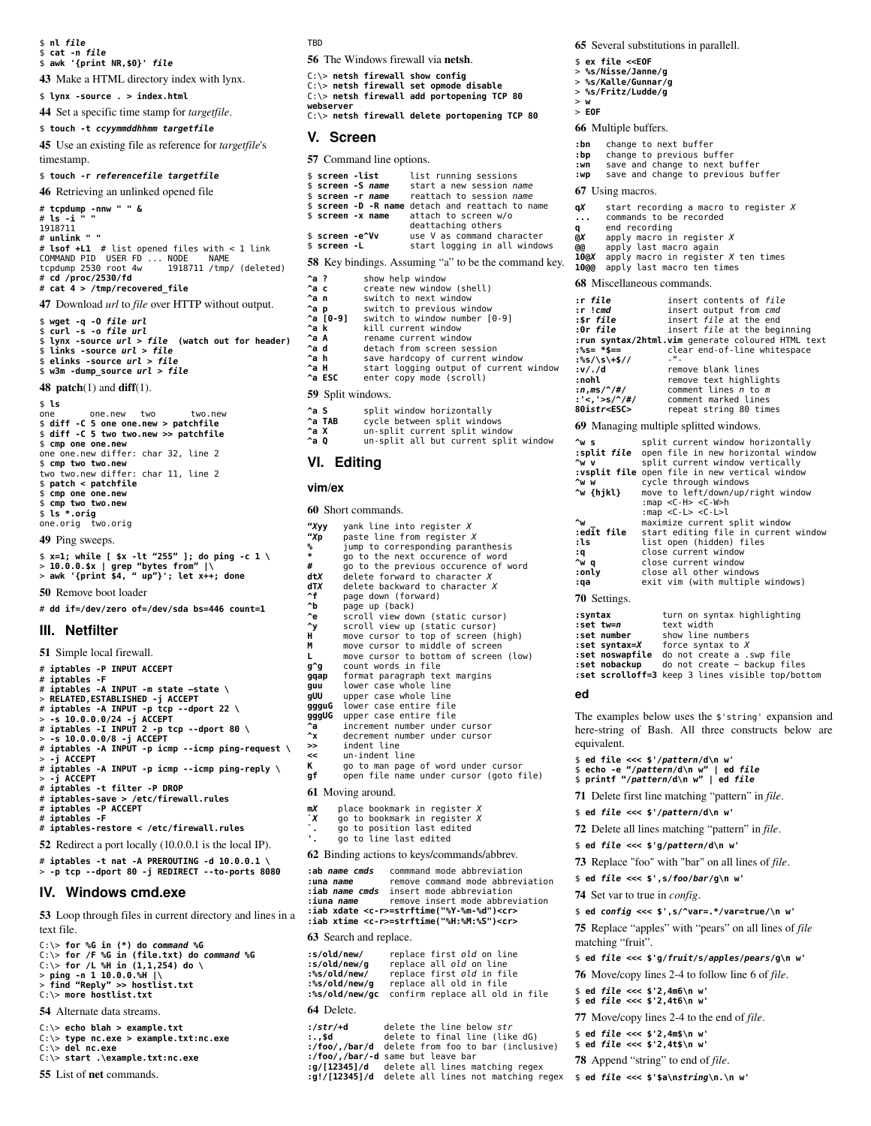\$ **nl** *file*

\$ **cat -n** *file* \$ **awk '{print NR,\$0}'** *file*

43 Make a HTML directory index with lynx.

\$ **lynx -source . > index.html**

44 Set a specific time stamp for *targetfile*.

#### \$ **touch -t** *ccyymmddhhmm targetfile*

45 Use an existing file as reference for *targetfile*'s timestamp.

#### \$ **touch -r** *referencefile targetfile*

46 Retrieving an unlinked opened file

# **tcpdump -nnw " " &** # **ls -i " "** 1918711 # **unlink " "** # **lsof +L1** # list opened files with < 1 link COMMAND PID USER FD ... NODE NAME tcpdump 2530 root 4w 1918711 /tmp/ (deleted) # **cd /proc/2530/fd** # **cat 4 > /tmp/recovered\_file**

47 Download *url* to *file* over HTTP without output.

\$ **wget -q -O** *file url* \$ **curl -s -o** *file url* \$ **lynx -source** *url* **>** *file* **(watch out for header)** \$ **links -source** *url* **>** *file* \$ **elinks -source** *url* **>** *file* \$ **w3m -dump\_source** *url* **>** *file*

**48 patch** $(1)$  and **diff** $(1)$ .

\$ **ls** one one.new two two.new \$ **diff -C 5 one one.new > patchfile** \$ **diff -C 5 two two.new >> patchfile** \$ **cmp one one.new** one one.new differ: char 32, line 2 \$ **cmp two two.new** two two.new differ: char 11, line 2 \$ **patch < patchfile** \$ **cmp one one.new** \$ **cmp two two.new** \$ **ls \*.orig** one.orig two.orig

49 Ping sweeps.

\$ **x=1; while [ \$x -lt "255" ]; do ping -c 1 \** > **10.0.0.\$x | grep "bytes from" |\** > **awk '{print \$4, " up"}'; let x++; done**

50 Remove boot loader

# **dd if=/dev/zero of=/dev/sda bs=446 count=1**

### **III. Netfilter**

51 Simple local firewall. # **iptables -P INPUT ACCEPT**

- 
- # **iptables -F** # iptables -A INPUT -m state -state \<br>> RELATED,ESTABLISHED -j ACCEPT<br># iptables -A INPUT -p tcp --dport 22 \<br>> -s 10.0.0.0/24 -j ACCEPT<br># iptables -I INPUT 2 -p tcp --dport 80 \<br>> -s 10.0.0.0/8 -j ACCEPT<br># iptables -A INP > **-j ACCEPT** # **iptables -A INPUT -p icmp --icmp ping-reply \** > **-j ACCEPT** iptables -t filter -P DROP # **iptables-save > /etc/firewall.rules** # **iptables -P ACCEPT**
- 
- # **iptables -F** # **iptables-restore < /etc/firewall.rules**

52 Redirect a port locally (10.0.0.1 is the local IP).

```
# iptables -t nat -A PREROUTING -d 10.0.0.1 \
> -p tcp --dport 80 -j REDIRECT --to-ports 8080
```
### **IV. Windows cmd.exe**

53 Loop through files in current directory and lines in a text file.

C:\> **for %G in (\*) do** *command* **%G** C:\> **for /F %G in (file.txt) do** *command* **%G** C:\> **for /L %H in (1,1,254) do \** > **ping -n 1 10.0.0.%H |\** > **find "Reply" >> hostlist.txt** C:\> **more hostlist.txt** 54 Alternate data streams.

- 
- C:\> **echo blah > example.txt**

```
C:\> type nc.exe > example.txt:nc.exe
C:\> del nc.exe
```
C:\> **start .\example.txt:nc.exe**

55 List of net commands.

**TRD** 

56 The Windows firewall via netsh.

|           | C:\> netsh firewall show confiq               |
|-----------|-----------------------------------------------|
|           | C:\> netsh firewall set opmode disable        |
|           | C:\> netsh firewall add portopening TCP 80    |
| webserver |                                               |
|           | C:\> netsh firewall delete portopening TCP 80 |
|           |                                               |

## **V. Screen**

| <b>57</b> Command line options. |  |
|---------------------------------|--|
|---------------------------------|--|

| <b>\$ screen -list</b> | \$ screen -S <i>name</i><br>\$ screen -r <i>name</i> | list running sessions<br>start a new session name<br>reattach to session name<br>\$ screen -D -R name detach and reattach to name |
|------------------------|------------------------------------------------------|-----------------------------------------------------------------------------------------------------------------------------------|
|                        |                                                      |                                                                                                                                   |
|                        | \$ screen -x name                                    | attach to screen w/o                                                                                                              |
|                        |                                                      | deattaching others                                                                                                                |
| \$ screen -e^Vv        |                                                      | use V as command character                                                                                                        |
| \$ screen -L           |                                                      | start logging in all windows                                                                                                      |
|                        |                                                      | <b>58</b> Key bindings. Assuming "a" to be the command key.                                                                       |
| ^a ?                   | show help window                                     |                                                                                                                                   |
| ^a c                   |                                                      | create new window (shell)                                                                                                         |
| ^a n                   |                                                      | switch to next window                                                                                                             |
|                        |                                                      |                                                                                                                                   |

| switch to previous window                                          |
|--------------------------------------------------------------------|
| switch to window number [0-9]                                      |
| kill current window                                                |
| rename current window                                              |
| detach from screen session                                         |
| save hardcopy of current window                                    |
| start logging output of current window                             |
| enter copy mode (scroll)                                           |
| ^a p<br>^a T0-91<br>^a k<br>^a A<br>^a d<br>^a h<br>^a H<br>^a ESC |

#### 59 Split windows.

| ^a S   | split window horizontally     |
|--------|-------------------------------|
| ^a TAB | cycle between split windows   |
| ^a X   | un-split current split window |

**^a Q** un-split all but current split window

### **VI. Editing**

#### **vim/ex**

60 Short commands.

```
"Xyy yank line into register X
         "Xp paste line from register X
% jump to corresponding paranthesis
* go to the next occurence of word
# go to the previous occurence of word<br>
dtX delete forward to character X
dtX delete forward to character X
dTX delete backward to character X
<sup>1</sup>f page down (forward)<br>b page up (back)
^b page up (back)
^e scroll view down (static cursor)
^y scroll view up (static cursor)
H move cursor to top of screen (high)
M move cursor to middle of screen
L move cursor to bottom of screen (low)
g^g count words in file
gqap format paragraph text margins
         lower case whole line
gUU upper case whole line
ggguG lower case entire file
gggUG upper case entire file
^a increment number under cursor
^x decrement number under cursor
         >> indent line
<< un-indent line
K go to man page of word under cursor
gf open file name under cursor (goto file)
61 Moving around.
mX place bookmark in register X
       `X go to bookmark in register X
`. go to position last edited
'. go to line last edited
62 Binding actions to keys/commands/abbrev.
:ab name cmds commmand mode abbreviation
```
remove command mode abbreviation **:iab** *name cmds* insert mode abbreviation **:iuna** *name* remove insert mode abbreviation **:iab xdate <c-r>=strftime("%Y-%m-%d")<cr> :iab xtime <c-r>=strftime("%H:%M:%S")<cr>**

### 63 Search and replace.

**:s/old/new/** replace first *old* on line **:s/old/new/g** replace all *old* on line **:%s/old/new/** replace first *old* in file **:%s/old/new/g** replace all old in file confirm replace all old in file 64 Delete.

# **:/***str***/+d** delete the line below *str* **:.,\$d** delete to final line (like dG) **:/foo/,/bar/d** delete from foo to bar (inclusive) **:/foo/,/bar/-d** same but leave bar **:g/[12345]/d** delete all lines matching regex **:g!/[12345]/d** delete all lines not matching regex \$ **ed** *file* **<<< \$'\$a\n***string***\n.\n w'**

65 Several substitutions in parallell.

- \$ **ex file <<EOF**
- > **%s/Nisse/Janne/g** > **%s/Kalle/Gunnar/g**
- > **%s/Fritz/Ludde/g**

```
> w
> EOF
```

|                                                        | 66 Multiple buffers.                                               |                                                                                                                                                                  |
|--------------------------------------------------------|--------------------------------------------------------------------|------------------------------------------------------------------------------------------------------------------------------------------------------------------|
| : bn<br>: bp<br>: wn<br>: WD                           | change to next buffer                                              | change to previous buffer<br>save and change to next buffer<br>save and change to previous buffer                                                                |
|                                                        | 67 Using macros.                                                   |                                                                                                                                                                  |
| qX<br>q,<br>$\mathbb{Q}X$<br>@@<br>10@X<br><b>10@@</b> | commands to be recorded<br>end recording<br>apply last macro again | start recording a macro to register X<br>apply macro in register $X$<br>apply macro in register $X$ ten times<br>apply last macro ten times                      |
|                                                        | 68 Miscellaneous commands.                                         |                                                                                                                                                                  |
| :r file<br>r!cmd<br>:\$r file<br>:0r file              |                                                                    | insert contents of file<br>insert output from cmd<br>insert file at the end<br>insert file at the beginning<br>:run syntax/2html.vim generate coloured HTML text |
| $:$ %s= $*$ \$==                                       |                                                                    | clear end-of-line whitespace<br>$\boldsymbol{\eta}$                                                                                                              |
| :%s/\s\+\$//<br>:v/./d<br>:nohl<br>:n,ms/^/#/          |                                                                    | remove blank lines<br>remove text highlights<br>comment lines $n$ to $m$                                                                                         |
| : '<, '>s/^/#/<br>80istr <esc></esc>                   |                                                                    | comment marked lines<br>repeat string 80 times                                                                                                                   |

69 Managing multiple splitted windows.

| ^w s<br>split <i>file</i> :<br>^w v                     | split current window horizontally<br>open file in new horizontal window<br>split current window vertically                                        |
|---------------------------------------------------------|---------------------------------------------------------------------------------------------------------------------------------------------------|
|                                                         | vsplit file open file in new vertical window:                                                                                                     |
| ^w w<br>^w {hikl}                                       | cycle through windows<br>move to left/down/up/right window<br>:map <c-h> <c-w>h<br/>:map <c-l> <c-l>l</c-l></c-l></c-w></c-h>                     |
| $\sim_{\mathsf{w}}$<br>edit file:<br>:ls<br>: q<br>^w q | maximize current split window<br>start editing file in current window<br>list open (hidden) files<br>close current window<br>close current window |
| :only<br>: ga                                           | close all other windows<br>exit vim (with multiple windows)                                                                                       |
| 70 Settings.                                            |                                                                                                                                                   |
| :syntax<br>set tw=n:<br>set number:                     | turn on syntax highlighting<br>text width<br>show line numbers<br>set syntax=X force syntax to X:<br>da aal aasala ah ama 2014                    |

| set noswapfile do not create a .swp file                  |
|-----------------------------------------------------------|
| $:$ <b>set nobackup</b> do not create $\sim$ backup files |
| :set scrolloff=3 keep 3 lines visible top/bottom          |

#### **ed**

The examples below uses the \$'string' expansion and here-string of Bash. All three constructs below are equivalent.

```
$ ed file <<< $'/pattern/d\n w'
$ echo -e "/pattern/d\n w" | ed file
$ printf "/pattern/d\n w" | ed file
```
71 Delete first line matching "pattern" in *file*.

- \$ **ed** *file* **<<< \$'/***pattern***/d\n w'**
- 72 Delete all lines matching "pattern" in *file*.
- \$ **ed** *file* **<<< \$'g/***pattern***/d\n w'**
- 73 Replace "foo" with "bar" on all lines of *file*.

\$ **ed** *file* **<<< \$',s/***foo***/***bar***/g\n w'**

74 Set var to true in *config*.

\$ **ed** *config* **<<< \$',s/^var=.\*/var=true/\n w'**

75 Replace "apples" with "pears" on all lines of *file* matching "fruit".

- \$ **ed** *file* **<<< \$'g/***fruit***/s/***apples***/***pears***/g\n w'**
- 76 Move/copy lines 24 to follow line 6 of *file*.

\$ **ed** *file* **<<< \$'2,4m6\n w'** \$ **ed** *file* **<<< \$'2,4t6\n w'**

- 77 Move/copy lines 2-4 to the end of *file*.
- \$ **ed** *file* **<<< \$'2,4m\$\n w'** \$ **ed** *file* **<<< \$'2,4t\$\n w'**

- 78 Append "string" to end of *file*.
-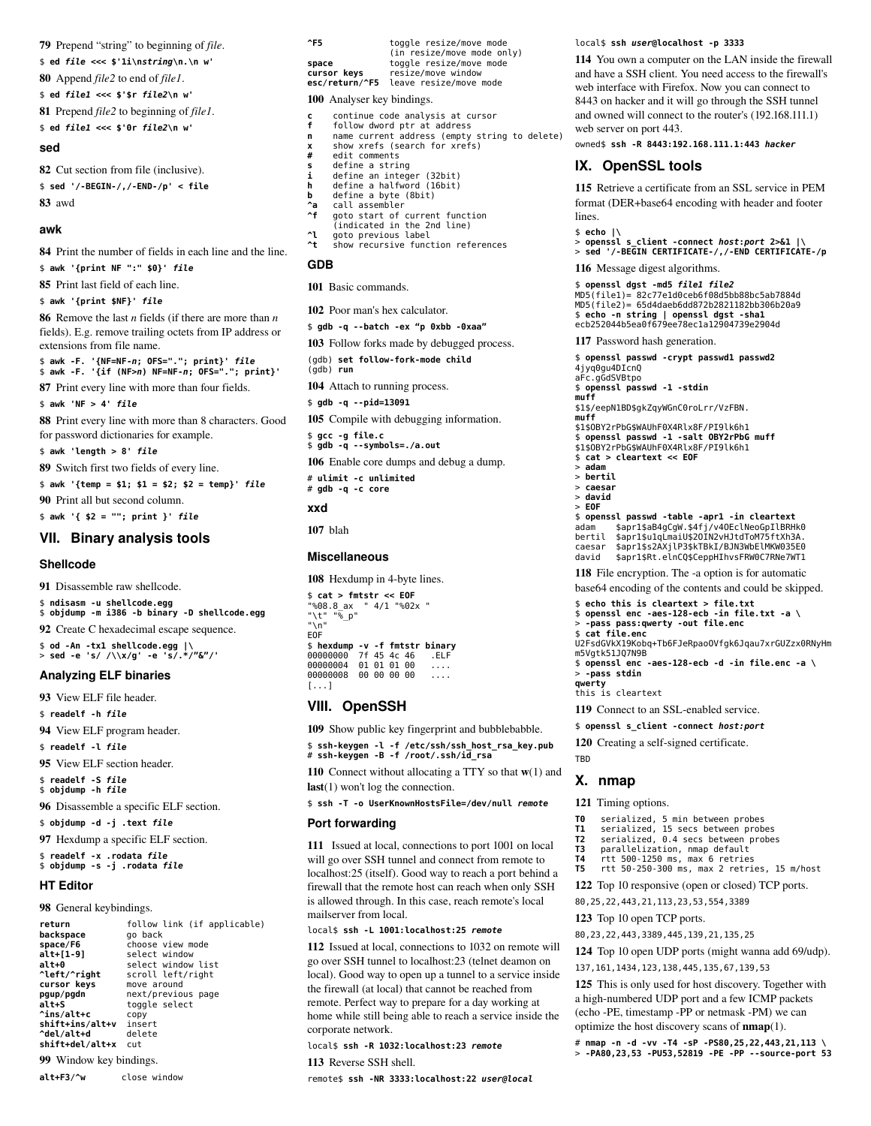79 Prepend "string" to beginning of *file*. \$ **ed** *file* **<<< \$'1i\n***string***\n.\n w'** 80 Append *file2* to end of *file1*. \$ **ed** *file1* **<<< \$'\$r** *file2***\n w'** 81 Prepend *file2* to beginning of *file1*. \$ **ed** *file1* **<<< \$'0r** *file2***\n w'**

#### **sed**

82 Cut section from file (inclusive). \$ **sed '/-BEGIN-/,/-END-/p' < file** 83 awd

#### **awk**

84 Print the number of fields in each line and the line.

\$ **awk '{print NF ":" \$0}'** *file*

85 Print last field of each line.

\$ **awk '{print \$NF}'** *file*

86 Remove the last *n* fields (if there are more than *n* fields). E.g. remove trailing octets from IP address or extensions from file name.

\$ **awk -F. '{NF=NF-***n***; OFS="."; print}'** *file* \$ **awk -F. '{if (NF>***n***) NF=NF-***n***; OFS="."; print}'**

87 Print every line with more than four fields.

\$ **awk 'NF > 4'** *file*

88 Print every line with more than 8 characters. Good for password dictionaries for example.

\$ **awk 'length > 8'** *file*

89 Switch first two fields of every line.

\$ **awk '{temp = \$1; \$1 = \$2; \$2 = temp}'** *file*

90 Print all but second column.

\$ **awk '{ \$2 = ""; print }'** *file*

# **VII. Binary analysis tools**

### **Shellcode**

91 Disassemble raw shellcode.

\$ **ndisasm -u shellcode.egg** \$ **objdump -m i386 -b binary -D shellcode.egg**

92 Create C hexadecimal escape sequence.

\$ **od -An -tx1 shellcode.egg |\** > **sed -e 's/ /\\x/g' -e 's/.\*/"&"/'**

## **Analyzing ELF binaries**

93 View ELF file header.

\$ **readelf -h** *file*

94 View ELF program header.

\$ **readelf -l** *file*

95 View ELF section header.

\$ **readelf -S** *file* \$ **objdump -h** *file*

96 Disassemble a specific ELF section.

\$ **objdump -d -j .text** *file*

97 Hexdump a specific ELF section.

\$ **readelf -x .rodata** *file* \$ **objdump -s -j .rodata** *file*

# **HT Editor**

98 General keybindings.

| return          | follow link (if applicable) |
|-----------------|-----------------------------|
| backspace       | go back                     |
| space/F6        | choose view mode            |
| alt+[1-9]       | select window               |
| alt+0           | select window list          |
| ^left/^right    | scroll left/right           |
| cursor keys     | move around                 |
| pqup/pqdn       | next/previous page          |
| alt+S           | toggle select               |
| ^ins/alt+c      | CODV                        |
| shift+ins/alt+v | insert                      |
| ^del/alt+d      | delete                      |
| shift+del/alt+x | cut                         |
|                 |                             |

99 Window key bindings.

**alt+F3**/**^w** close window

| $^{\circ}$ F5        | toggle resize/move mode<br>(in resize/move mode only)                                  |
|----------------------|----------------------------------------------------------------------------------------|
| space<br>cursor keys | toggle resize/move mode<br>resize/move window<br>esc/return/^F5 leave resize/move mode |

100 Analyser key bindings.

- **c** continue code analysis at cursor<br>**f** follow dword ptr at address
- **f** follow dword ptr at address **n** name current address (empty string to delete)
- **x** show xrefs (search for xrefs)<br> **#** edit comments
- **#** edit comments
- **s** define a string
- **i** define an integer (32bit) **h** define a halfword (16bit)
- **b** define a byte (8bit)
- **^a** call assembler
- **^f** goto start of current function (indicated in the 2nd line) **^l** goto previous label **^t** show recursive function references
- 

# **GDB**

101 Basic commands.

102 Poor man's hex calculator.

\$ **gdb -q --batch -ex "p 0xbb -0xaa"**

- 103 Follow forks made by debugged process.
- (gdb) **set follow-fork-mode child** (gdb) **run**

104 Attach to running process.

\$ **gdb -q --pid=13091**

105 Compile with debugging information.

\$ **gcc -g file.c** \$ **gdb -q --symbols=./a.out**

106 Enable core dumps and debug a dump. # **ulimit -c unlimited**

# **gdb -q -c core**

### **xxd**

107 blah

# **Miscellaneous**

108 Hexdump in 4-byte lines.

```
$ cat > fmtstr << EOF
"%08.8_ax " 4/1 "%02x " 
"\t" "%_p" 
"\n"
EOF
$ hexdump -v -f fmtstr binary
00000000 7f 45 4c 46 .ELF 
00000004 01 01 01 00 .... 
00000008 00 00 00 00 ...
[...]
```
## **VIII. OpenSSH**

109 Show public key fingerprint and bubblebabble.

\$ **ssh-keygen -l -f /etc/ssh/ssh\_host\_rsa\_key.pub** # **ssh-keygen -B -f /root/.ssh/id\_rsa**

110 Connect without allocating a TTY so that  $w(1)$  and last(1) won't log the connection.

\$ **ssh -T -o UserKnownHostsFile=/dev/null** *remote*

### **Port forwarding**

111 Issued at local, connections to port 1001 on local will go over SSH tunnel and connect from remote to localhost:25 (itself). Good way to reach a port behind a firewall that the remote host can reach when only SSH is allowed through. In this case, reach remote's local mailserver from local.

#### local\$ **ssh -L 1001:localhost:25** *remote*

112 Issued at local, connections to 1032 on remote will go over SSH tunnel to localhost:23 (telnet deamon on local). Good way to open up a tunnel to a service inside the firewall (at local) that cannot be reached from remote. Perfect way to prepare for a day working at home while still being able to reach a service inside the corporate network.

local\$ **ssh -R 1032:localhost:23** *remote* 113 Reverse SSH shell.

remote\$ **ssh -NR 3333:localhost:22** *user@local*

#### local\$ **ssh** *user***@localhost -p 3333**

114 You own a computer on the LAN inside the firewall and have a SSH client. You need access to the firewall's web interface with Firefox. Now you can connect to 8443 on hacker and it will go through the SSH tunnel and owned will connect to the router's (192.168.111.1) web server on port 443.

owned\$ **ssh -R 8443:192.168.111.1:443** *hacker*

## **IX. OpenSSL tools**

115 Retrieve a certificate from an SSL service in PEM format (DER+base64 encoding with header and footer lines.

#### \$ **echo |\**

> **openssl s\_client -connect** *host***:***port* **2>&1 |\** > **sed '/-BEGIN CERTIFICATE-/,/-END CERTIFICATE-/p**

```
116 Message digest algorithms.
```

```
$ openssl dgst -md5 file1 file2
MD5(file1)= 82c77e1d0ceb6f08d5bb88bc5ab7884d
MD5(file2)= 65d4daeb6dd872b2821182bb306b20a9
$ echo -n string | openssl dgst -sha1
ecb252044b5ea0f679ee78ec1a12904739e2904d
117 Password hash generation.
$ openssl passwd -crypt passwd1 passwd2
4jyq0gu4DIcnQ
```
aFc.gGdSVBtpo \$ **openssl passwd -1 -stdin muff** \$1\$/eepN1BD\$gkZqyWGnC0roLrr/VzFBN. **muff** \$1\$OBY2rPbG\$WAUhF0X4Rlx8F/PI9lk6h1 \$ **openssl passwd -1 -salt OBY2rPbG muff** \$1\$OBY2rPbG\$WAUhF0X4Rlx8F/PI9lk6h1 \$ **cat > cleartext << EOF** > **adam** > **bertil** > **caesar** > **david** > **EOF** \$ **openssl passwd -table -apr1 -in cleartext** adam \$apr1\$aB4gCgW.\$4fj/v4OEclNeoGpIlBRHk0 bertil \$apr1\$u1qLmaiU\$2OIN2vHJtdToM75ftXh3A. caesar \$apr1\$s2AXjlP3\$kTBkI/BJN3WbElMKW035E0 david \$apr1\$Rt.elnCQ\$CeppHIhvsFRW0C7RNe7WT1

118 File encryption. The -a option is for automatic

base64 encoding of the contents and could be skipped.

```
$ echo this is cleartext > file.txt
$ openssl enc -aes-128-ecb -in file.txt -a \
  > -pass pass:qwerty -out file.enc
$ cat file.enc
U2FsdGVkX19Kobq+Tb6FJeRpaoOVfgk6Jqau7xrGUZzx0RNyHm
```
m5Vgtk51JQ7N9B \$ **openssl enc -aes-128-ecb -d -in file.enc -a \** > **-pass stdin**

**qwerty** this is cleartext

**TRD** 

**X. nmap**

121 Timing options.

119 Connect to an SSL-enabled service.

\$ **openssl s\_client -connect** *host:port* 120 Creating a self-signed certificate.

**T0** serialized, 5 min between probes **T1** serialized, 15 secs between probes **T2** serialized, 0.4 secs between probes **T3** parallelization, nmap default **T4** rtt 500-1250 ms, max 6 retries

80,25,22,443,21,113,23,53,554,3389 123 Top 10 open TCP ports.

80,23,22,443,3389,445,139,21,135,25

137,161,1434,123,138,445,135,67,139,53

**T5** rtt 50-250-300 ms, max 2 retries, 15 m/host 122 Top 10 responsive (open or closed) TCP ports.

124 Top 10 open UDP ports (might wanna add 69/udp).

125 This is only used for host discovery. Together with a high-numbered UDP port and a few ICMP packets (echo -PE, timestamp -PP or netmask -PM) we can optimize the host discovery scans of nmap(1). # **nmap -n -d -vv -T4 -sP -PS80,25,22,443,21,113 \** > **-PA80,23,53 -PU53,52819 -PE -PP --source-port 53**